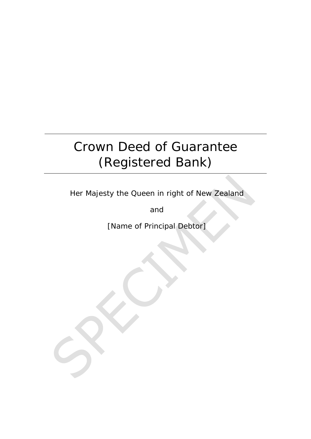# Crown Deed of Guarantee (Registered Bank)

Her Majesty the Queen in right of New Zealand

and

[Name of Principal Debtor]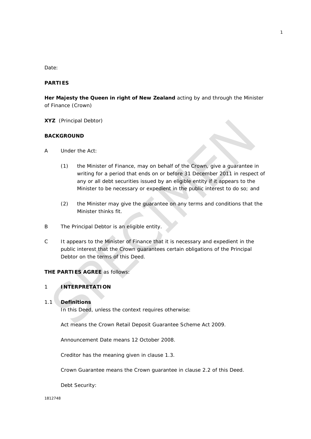#### *Date:*

#### **PARTIES**

**Her Majesty the Queen in right of New Zealand** acting by and through the Minister of Finance (*Crown*)

**XYZ** (*Principal Debtor*)

#### **BACKGROUND**

- A Under the Act:
	- (1) the Minister of Finance, may on behalf of the Crown, give a guarantee in writing for a period that ends on or before 31 December 2011 in respect of any or all debt securities issued by an eligible entity if it appears to the Minister to be necessary or expedient in the public interest to do so; and
	- (2) the Minister may give the guarantee on any terms and conditions that the Minister thinks fit.
- B The Principal Debtor is an eligible entity.
- C It appears to the Minister of Finance that it is necessary and expedient in the public interest that the Crown guarantees certain obligations of the Principal Debtor on the terms of this Deed.

## **THE PARTIES AGREE** as follows:

### 1 **INTERPRETATION**

#### 1.1 **Definitions**

In this Deed, unless the context requires otherwise:

*Act* means the Crown Retail Deposit Guarantee Scheme Act 2009.

*Announcement Date* means 12 October 2008.

*Creditor* has the meaning given in clause 1.3*.*

*Crown Guarantee* means the Crown guarantee in clause 2.2 of this Deed.

*Debt Security*: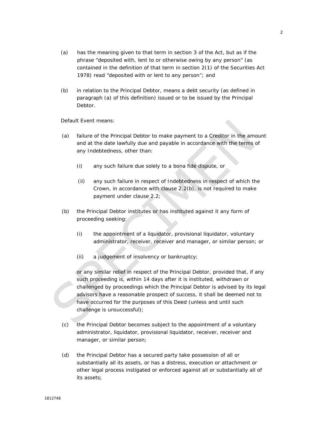- (a) has the meaning given to that term in section 3 of the Act, but as if the phrase "deposited with, lent to or otherwise owing by any person" (as contained in the definition of that term in section 2(1) of the Securities Act 1978) read "deposited with or lent to any person"; and
- (b) in relation to the Principal Debtor, means a debt security (as defined in paragraph (a) of this definition) issued or to be issued by the Principal Debtor.

*Default Event* means:

- (a) failure of the Principal Debtor to make payment to a Creditor in the amount and at the date lawfully due and payable in accordance with the terms of any Indebtedness, other than:
	- (i) any such failure due solely to a bona fide dispute, or
	- (ii) any such failure in respect of Indebtedness in respect of which the Crown, in accordance with clause 2.2(b), is not required to make payment under clause 2.2;
- (b) the Principal Debtor institutes or has instituted against it any form of proceeding seeking:
	- (i) the appointment of a liquidator, provisional liquidator, voluntary administrator, receiver, receiver and manager, or similar person; or
	- (ii) a judgement of insolvency or bankruptcy;

or any similar relief in respect of the Principal Debtor, provided that, if any such proceeding is, within 14 days after it is instituted, withdrawn or challenged by proceedings which the Principal Debtor is advised by its legal advisors have a reasonable prospect of success, it shall be deemed not to have occurred for the purposes of this Deed (unless and until such challenge is unsuccessful);

- (c) the Principal Debtor becomes subject to the appointment of a voluntary administrator, liquidator, provisional liquidator, receiver, receiver and manager, or similar person;
- (d) the Principal Debtor has a secured party take possession of all or substantially all its assets, or has a distress, execution or attachment or other legal process instigated or enforced against all or substantially all of its assets;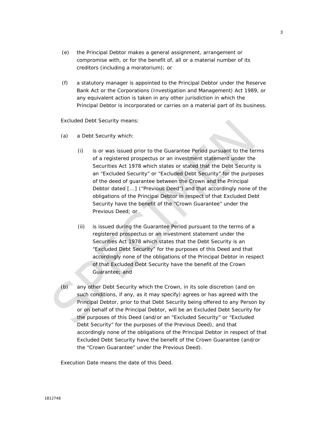- (e) the Principal Debtor makes a general assignment, arrangement or compromise with, or for the benefit of, all or a material number of its creditors (including a moratorium); or
- (f) a statutory manager is appointed to the Principal Debtor under the Reserve Bank Act or the Corporations (Investigation and Management) Act 1989, or any equivalent action is taken in any other jurisdiction in which the Principal Debtor is incorporated or carries on a material part of its business.

#### *Excluded Debt Security* means:

- (a) a Debt Security which:
	- (i) is or was issued prior to the Guarantee Period pursuant to the terms of a registered prospectus or an investment statement under the Securities Act 1978 which states or stated that the Debt Security is an "Excluded Security" or "Excluded Debt Security" for the purposes of the deed of guarantee between the Crown and the Principal Debtor dated [...] ("Previous Deed") and that accordingly none of the obligations of the Principal Debtor in respect of that Excluded Debt Security have the benefit of the "Crown Guarantee" under the Previous Deed; or
	- (ii) is issued during the Guarantee Period pursuant to the terms of a registered prospectus or an investment statement under the Securities Act 1978 which states that the Debt Security is an "Excluded Debt Security" for the purposes of this Deed and that accordingly none of the obligations of the Principal Debtor in respect of that Excluded Debt Security have the benefit of the Crown Guarantee; and
- (b) any other Debt Security which the Crown, in its sole discretion (and on such conditions, if any, as it may specify) agrees or has agreed with the Principal Debtor, prior to that Debt Security being offered to any Person by or on behalf of the Principal Debtor, will be an Excluded Debt Security for the purposes of this Deed (and/or an "Excluded Security" or "Excluded Debt Security" for the purposes of the Previous Deed), and that accordingly none of the obligations of the Principal Debtor in respect of that Excluded Debt Security have the benefit of the Crown Guarantee (and/or the "Crown Guarantee" under the Previous Deed).

*Execution Date* means the date of this Deed.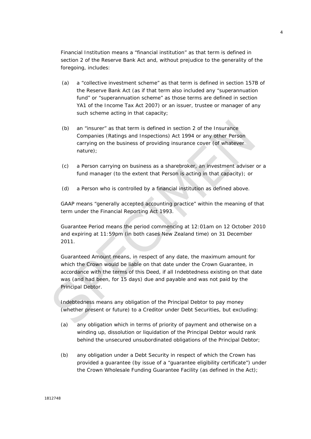*Financial Institution* means a "financial institution" as that term is defined in section 2 of the Reserve Bank Act and, without prejudice to the generality of the foregoing, includes:

- (a) a "collective investment scheme" as that term is defined in section 157B of the Reserve Bank Act (as if that term also included any "superannuation fund" or "superannuation scheme" as those terms are defined in section YA1 of the Income Tax Act 2007) or an issuer, trustee or manager of any such scheme acting in that capacity;
- (b) an "insurer" as that term is defined in section 2 of the Insurance Companies (Ratings and Inspections) Act 1994 or any other Person carrying on the business of providing insurance cover (of whatever nature);
- (c) a Person carrying on business as a sharebroker, an investment adviser or a fund manager (to the extent that Person is acting in that capacity); or
- (d) a Person who is controlled by a financial institution as defined above.

*GAAP* means "generally accepted accounting practice" within the meaning of that term under the Financial Reporting Act 1993.

*Guarantee Period* means the period commencing at 12:01am on 12 October 2010 and expiring at 11:59pm (in both cases New Zealand time) on 31 December 2011.

*Guaranteed Amount* means, in respect of any date, the maximum amount for which the Crown would be liable on that date under the Crown Guarantee, in accordance with the terms of this Deed, if all Indebtedness existing on that date was (and had been, for 15 days) due and payable and was not paid by the Principal Debtor.

*Indebtedness* means any obligation of the Principal Debtor to pay money (whether present or future) to a Creditor under Debt Securities, but excluding:

- (a) any obligation which in terms of priority of payment and otherwise on a winding up, dissolution or liquidation of the Principal Debtor would rank behind the unsecured unsubordinated obligations of the Principal Debtor;
- (b) any obligation under a Debt Security in respect of which the Crown has provided a guarantee (by issue of a "guarantee eligibility certificate") under the Crown Wholesale Funding Guarantee Facility (as defined in the Act);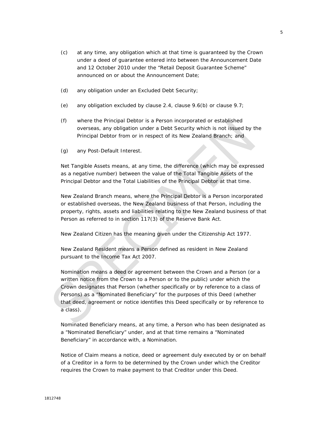- (c) at any time, any obligation which at that time is guaranteed by the Crown under a deed of guarantee entered into between the Announcement Date and 12 October 2010 under the "Retail Deposit Guarantee Scheme" announced on or about the Announcement Date;
- (d) any obligation under an Excluded Debt Security;
- (e) any obligation excluded by clause 2.4, clause 9.6(b) or clause 9.7;
- (f) where the Principal Debtor is a Person incorporated or established overseas, any obligation under a Debt Security which is not issued by the Principal Debtor from or in respect of its New Zealand Branch; and
- (g) any Post-Default Interest.

*Net Tangible Assets* means, at any time, the difference (which may be expressed as a negative number) between the value of the Total Tangible Assets of the Principal Debtor and the Total Liabilities of the Principal Debtor at that time.

*New Zealand Branch* means, where the Principal Debtor is a Person incorporated or established overseas, the New Zealand business of that Person, including the property, rights, assets and liabilities relating to the New Zealand business of that Person as referred to in section 117(3) of the Reserve Bank Act.

*New Zealand Citizen* has the meaning given under the Citizenship Act 1977.

*New Zealand Resident* means a Person defined as resident in New Zealand pursuant to the Income Tax Act 2007.

*Nomination* means a deed or agreement between the Crown and a Person (or a written notice from the Crown to a Person or to the public) under which the Crown designates that Person (whether specifically or by reference to a class of Persons) as a "Nominated Beneficiary" for the purposes of this Deed (whether that deed, agreement or notice identifies this Deed specifically or by reference to a class).

*Nominated Beneficiary* means, at any time, a Person who has been designated as a "Nominated Beneficiary" under, and at that time remains a "Nominated Beneficiary" in accordance with, a Nomination.

*Notice of Claim* means a notice, deed or agreement duly executed by or on behalf of a Creditor in a form to be determined by the Crown under which the Creditor requires the Crown to make payment to that Creditor under this Deed.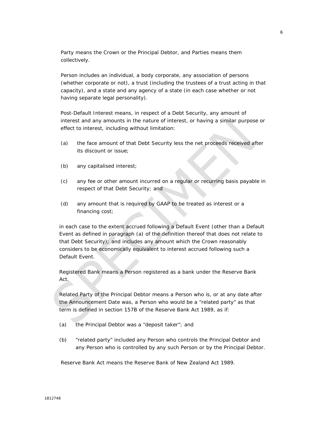*Party* means the Crown or the Principal Debtor, and *Parties* means them collectively.

*Person* includes an individual, a body corporate, any association of persons (whether corporate or not), a trust (including the trustees of a trust acting in that capacity), and a state and any agency of a state (in each case whether or not having separate legal personality).

*Post-Default Interest* means, in respect of a Debt Security, any amount of interest and any amounts in the nature of interest, or having a similar purpose or effect to interest, including without limitation:

- (a) the face amount of that Debt Security less the net proceeds received after its discount or issue;
- (b) any capitalised interest;
- (c) any fee or other amount incurred on a regular or recurring basis payable in respect of that Debt Security; and
- (d) any amount that is required by GAAP to be treated as interest or a financing cost;

in each case to the extent accrued following a Default Event (other than a Default Event as defined in paragraph (a) of the definition thereof that does not relate to that Debt Security); and includes any amount which the Crown reasonably considers to be economically equivalent to interest accrued following such a Default Event.

*Registered Bank* means a Person registered as a bank under the Reserve Bank Act.

*Related Party* of the Principal Debtor means a Person who is, or at any date after the Announcement Date was, a Person who would be a "related party" as that term is defined in section 157B of the Reserve Bank Act 1989, as if:

- (a) the Principal Debtor was a "deposit taker"; and
- (b) "related party" included any Person who controls the Principal Debtor and any Person who is controlled by any such Person or by the Principal Debtor.

*Reserve Bank Act* means the Reserve Bank of New Zealand Act 1989.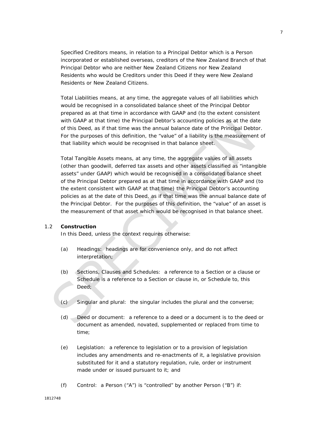*Specified Creditors* means, in relation to a Principal Debtor which is a Person incorporated or established overseas, creditors of the New Zealand Branch of that Principal Debtor who are neither New Zealand Citizens nor New Zealand Residents who would be Creditors under this Deed if they were New Zealand Residents or New Zealand Citizens.

*Total Liabilities* means, at any time, the aggregate values of all liabilities which would be recognised in a consolidated balance sheet of the Principal Debtor prepared as at that time in accordance with GAAP and (to the extent consistent with GAAP at that time) the Principal Debtor's accounting policies as at the date of this Deed, as if that time was the annual balance date of the Principal Debtor. For the purposes of this definition, the "value" of a liability is the measurement of that liability which would be recognised in that balance sheet.

*Total Tangible Assets* means, at any time, the aggregate values of all assets (other than goodwill, deferred tax assets and other assets classified as "intangible assets" under GAAP) which would be recognised in a consolidated balance sheet of the Principal Debtor prepared as at that time in accordance with GAAP and (to the extent consistent with GAAP at that time) the Principal Debtor's accounting policies as at the date of this Deed, as if that time was the annual balance date of the Principal Debtor. For the purposes of this definition, the "value" of an asset is the measurement of that asset which would be recognised in that balance sheet.

#### 1.2 **Construction**

In this Deed, unless the context requires otherwise:

- (a) *Headings:* headings are for convenience only, and do not affect interpretation;
- (b) *Sections, Clauses and Schedules:* a reference to a Section or a clause or Schedule is a reference to a Section or clause in, or Schedule to, this Deed:
- (c) *Singular and plural:* the singular includes the plural and the converse;
- (d) *Deed or document:* a reference to a deed or a document is to the deed or document as amended, novated, supplemented or replaced from time to time;
- (e) *Legislation:* a reference to legislation or to a provision of legislation includes any amendments and re-enactments of it, a legislative provision substituted for it and a statutory regulation, rule, order or instrument made under or issued pursuant to it; and
- (f) *Control:* a Person ("A") is "controlled" by another Person ("B") if: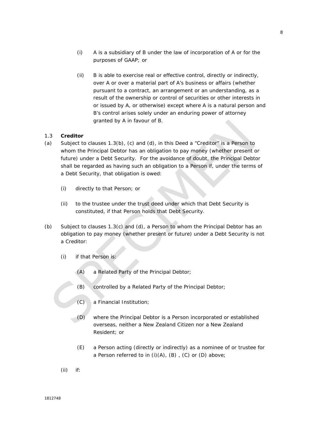- (i) A is a subsidiary of B under the law of incorporation of A or for the purposes of GAAP; or
- (ii) B is able to exercise real or effective control, directly or indirectly, over A or over a material part of A's business or affairs (whether pursuant to a contract, an arrangement or an understanding, as a result of the ownership or control of securities or other interests in or issued by A, or otherwise) except where A is a natural person and B's control arises solely under an enduring power of attorney granted by A in favour of B.

## 1.3 **Creditor**

- (a) Subject to clauses  $1.3(b)$ , (c) and (d), in this Deed a "Creditor" is a Person to whom the Principal Debtor has an obligation to pay money (whether present or future) under a Debt Security. For the avoidance of doubt, the Principal Debtor shall be regarded as having such an obligation to a Person if, under the terms of a Debt Security, that obligation is owed:
	- (i) directly to that Person; or
	- (ii) to the trustee under the trust deed under which that Debt Security is constituted, if that Person holds that Debt Security.
- (b) Subject to clauses 1.3(c) and (d), a Person to whom the Principal Debtor has an obligation to pay money (whether present or future) under a Debt Security is not a Creditor:
	- (i) if that Person is:
		- (A) a Related Party of the Principal Debtor;
		- (B) controlled by a Related Party of the Principal Debtor;
		- (C) a Financial Institution;
		- (D) where the Principal Debtor is a Person incorporated or established overseas, neither a New Zealand Citizen nor a New Zealand Resident; or
		- (E) a Person acting (directly or indirectly) as a nominee of or trustee for a Person referred to in  $(i)(A)$ ,  $(B)$ ,  $(C)$  or  $(D)$  above;
	- (ii) if: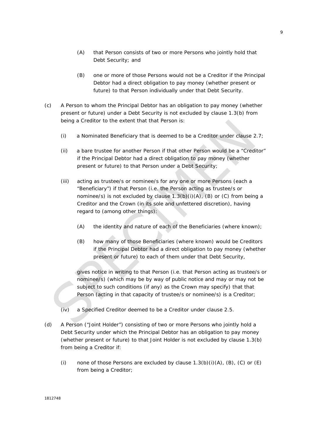- (A) that Person consists of two or more Persons who jointly hold that Debt Security; and
- (B) one or more of those Persons would not be a Creditor if the Principal Debtor had a direct obligation to pay money (whether present or future) to that Person individually under that Debt Security.
- (c) A Person to whom the Principal Debtor has an obligation to pay money (whether present or future) under a Debt Security is not excluded by clause 1.3(b) from being a Creditor to the extent that that Person is:
	- (i) a Nominated Beneficiary that is deemed to be a Creditor under clause 2.7;
	- (ii) a bare trustee for another Person if that other Person would be a "Creditor" if the Principal Debtor had a direct obligation to pay money (whether present or future) to that Person under a Debt Security;
	- (iii) acting as trustee/s or nominee/s for any one or more Persons (each a "Beneficiary") if that Person (i.e. the Person acting as trustee/s or nominee/s) is not excluded by clause 1.3(b)(i)(A), (B) or (C) from being a Creditor and the Crown (in its sole and unfettered discretion), having regard to (among other things):
		- (A) the identity and nature of each of the Beneficiaries (where known);
		- (B) how many of those Beneficiaries (where known) would be Creditors if the Principal Debtor had a direct obligation to pay money (whether present or future) to each of them under that Debt Security,

gives notice in writing to that Person (i.e. that Person acting as trustee/s or nominee/s) (which may be by way of public notice and may or may not be subject to such conditions (if any) as the Crown may specify) that that Person (acting in that capacity of trustee/s or nominee/s) is a Creditor;

- (iv) a Specified Creditor deemed to be a Creditor under clause 2.5.
- (d) A Person ("Joint Holder") consisting of two or more Persons who jointly hold a Debt Security under which the Principal Debtor has an obligation to pay money (whether present or future) to that Joint Holder is not excluded by clause 1.3(b) from being a Creditor if:
	- (i) none of those Persons are excluded by clause  $1.3(b)(i)(A)$ ,  $(B)$ ,  $(C)$  or  $(E)$ from being a Creditor;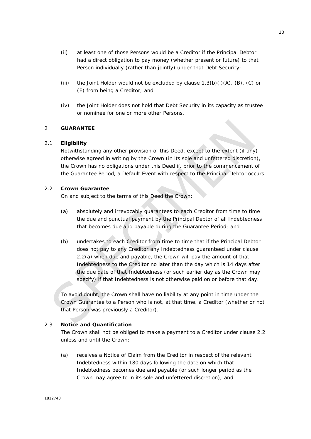- (ii) at least one of those Persons would be a Creditor if the Principal Debtor had a direct obligation to pay money (whether present or future) to that Person individually (rather than jointly) under that Debt Security;
- (iii) the Joint Holder would not be excluded by clause  $1.3(b)(i)(A)$ ,  $(B)$ ,  $(C)$  or (E) from being a Creditor; and
- (iv) the Joint Holder does not hold that Debt Security in its capacity as trustee or nominee for one or more other Persons.

## 2 **GUARANTEE**

#### 2.1 **Eligibility**

Notwithstanding any other provision of this Deed, except to the extent (if any) otherwise agreed in writing by the Crown (in its sole and unfettered discretion), the Crown has no obligations under this Deed if, prior to the commencement of the Guarantee Period, a Default Event with respect to the Principal Debtor occurs.

#### 2.2 **Crown Guarantee**

On and subject to the terms of this Deed the Crown:

- (a) absolutely and irrevocably guarantees to each Creditor from time to time the due and punctual payment by the Principal Debtor of all Indebtedness that becomes due and payable during the Guarantee Period; and
- (b) undertakes to each Creditor from time to time that if the Principal Debtor does not pay to any Creditor any Indebtedness guaranteed under clause 2.2(a) when due and payable, the Crown will pay the amount of that Indebtedness to the Creditor no later than the day which is 14 days after the due date of that Indebtedness (or such earlier day as the Crown may specify) if that Indebtedness is not otherwise paid on or before that day.

To avoid doubt, the Crown shall have no liability at any point in time under the Crown Guarantee to a Person who is not, at that time, a Creditor (whether or not that Person was previously a Creditor).

#### 2.3 **Notice and Quantification**

The Crown shall not be obliged to make a payment to a Creditor under clause 2.2 unless and until the Crown:

(a) receives a Notice of Claim from the Creditor in respect of the relevant Indebtedness within 180 days following the date on which that Indebtedness becomes due and payable (or such longer period as the Crown may agree to in its sole and unfettered discretion); and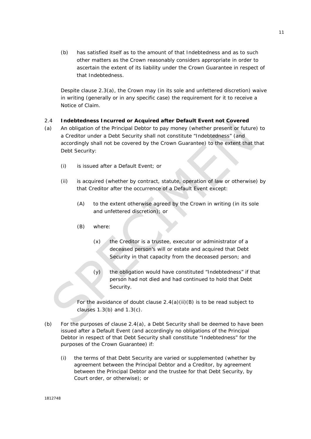(b) has satisfied itself as to the amount of that Indebtedness and as to such other matters as the Crown reasonably considers appropriate in order to ascertain the extent of its liability under the Crown Guarantee in respect of that Indebtedness.

Despite clause 2.3(a), the Crown may (in its sole and unfettered discretion) waive in writing (generally or in any specific case) the requirement for it to receive a Notice of Claim.

## 2.4 **Indebtedness Incurred or Acquired after Default Event not Covered**

- (a) An obligation of the Principal Debtor to pay money (whether present or future) to a Creditor under a Debt Security shall not constitute "Indebtedness" (and accordingly shall not be covered by the Crown Guarantee) to the extent that that Debt Security:
	- (i) is issued after a Default Event; or
	- (ii) is acquired (whether by contract, statute, operation of law or otherwise) by that Creditor after the occurrence of a Default Event except:
		- (A) to the extent otherwise agreed by the Crown in writing (in its sole and unfettered discretion); or
		- (B) where:
			- (x) the Creditor is a trustee, executor or administrator of a deceased person's will or estate and acquired that Debt Security in that capacity from the deceased person; and
			- $(y)$  the obligation would have constituted "Indebtedness" if that person had not died and had continued to hold that Debt Security.

 For the avoidance of doubt clause 2.4(a)(ii)(B) is to be read subject to clauses 1.3(b) and 1.3(c).

- (b) For the purposes of clause  $2.4(a)$ , a Debt Security shall be deemed to have been issued after a Default Event (and accordingly no obligations of the Principal Debtor in respect of that Debt Security shall constitute "Indebtedness" for the purposes of the Crown Guarantee) if:
	- (i) the terms of that Debt Security are varied or supplemented (whether by agreement between the Principal Debtor and a Creditor, by agreement between the Principal Debtor and the trustee for that Debt Security, by Court order, or otherwise); or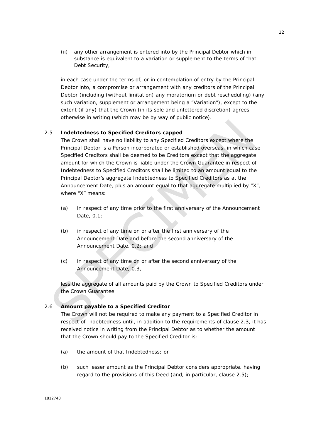(ii) any other arrangement is entered into by the Principal Debtor which in substance is equivalent to a variation or supplement to the terms of that Debt Security,

in each case under the terms of, or in contemplation of entry by the Principal Debtor into, a compromise or arrangement with any creditors of the Principal Debtor (including (without limitation) any moratorium or debt rescheduling) (any such variation, supplement or arrangement being a "Variation"), except to the extent (if any) that the Crown (in its sole and unfettered discretion) agrees otherwise in writing (which may be by way of public notice).

#### 2.5 **Indebtedness to Specified Creditors capped**

The Crown shall have no liability to any Specified Creditors except where the Principal Debtor is a Person incorporated or established overseas, in which case Specified Creditors shall be deemed to be Creditors except that the aggregate amount for which the Crown is liable under the Crown Guarantee in respect of Indebtedness to Specified Creditors shall be limited to an amount equal to the Principal Debtor's aggregate Indebtedness to Specified Creditors as at the Announcement Date, plus an amount equal to that aggregate multiplied by "X", where "X" means:

- (a) in respect of any time prior to the first anniversary of the Announcement Date, 0.1;
- (b) in respect of any time on or after the first anniversary of the Announcement Date and before the second anniversary of the Announcement Date, 0.2; and
- (c) in respect of any time on or after the second anniversary of the Announcement Date, 0.3,

less the aggregate of all amounts paid by the Crown to Specified Creditors under the Crown Guarantee.

#### 2.6 **Amount payable to a Specified Creditor**

The Crown will not be required to make any payment to a Specified Creditor in respect of Indebtedness until, in addition to the requirements of clause 2.3, it has received notice in writing from the Principal Debtor as to whether the amount that the Crown should pay to the Specified Creditor is:

- (a) the amount of that Indebtedness; or
- (b) such lesser amount as the Principal Debtor considers appropriate, having regard to the provisions of this Deed (and, in particular, clause 2.5);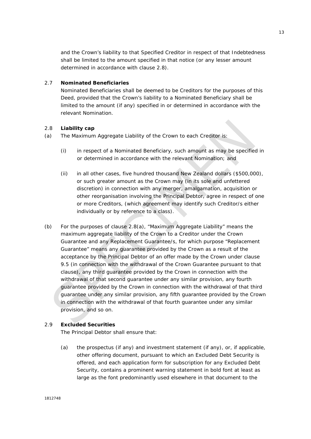and the Crown's liability to that Specified Creditor in respect of that Indebtedness shall be limited to the amount specified in that notice (or any lesser amount determined in accordance with clause 2.8).

## 2.7 **Nominated Beneficiaries**

Nominated Beneficiaries shall be deemed to be Creditors for the purposes of this Deed, provided that the Crown's liability to a Nominated Beneficiary shall be limited to the amount (if any) specified in or determined in accordance with the relevant Nomination.

#### 2.8 **Liability cap**

- (a) The Maximum Aggregate Liability of the Crown to each Creditor is:
	- (i) in respect of a Nominated Beneficiary, such amount as may be specified in or determined in accordance with the relevant Nomination; and
	- (ii) in all other cases, five hundred thousand New Zealand dollars (\$500,000), or such greater amount as the Crown may (in its sole and unfettered discretion) in connection with any merger, amalgamation, acquisition or other reorganisation involving the Principal Debtor, agree in respect of one or more Creditors, (which agreement may identify such Creditor/s either individually or by reference to a class).
- (b) For the purposes of clause 2.8(a), "Maximum Aggregate Liability" means the maximum aggregate liability of the Crown to a Creditor under the Crown Guarantee and any Replacement Guarantee/s, for which purpose "Replacement Guarantee" means any guarantee provided by the Crown as a result of the acceptance by the Principal Debtor of an offer made by the Crown under clause 9.5 (in connection with the withdrawal of the Crown Guarantee pursuant to that clause), any third guarantee provided by the Crown in connection with the withdrawal of that second guarantee under any similar provision, any fourth guarantee provided by the Crown in connection with the withdrawal of that third guarantee under any similar provision, any fifth guarantee provided by the Crown in connection with the withdrawal of that fourth guarantee under any similar provision, and so on.

#### 2.9 **Excluded Securities**

The Principal Debtor shall ensure that:

(a) the prospectus (if any) and investment statement (if any), or, if applicable, other offering document, pursuant to which an Excluded Debt Security is offered, and each application form for subscription for any Excluded Debt Security, contains a prominent warning statement in bold font at least as large as the font predominantly used elsewhere in that document to the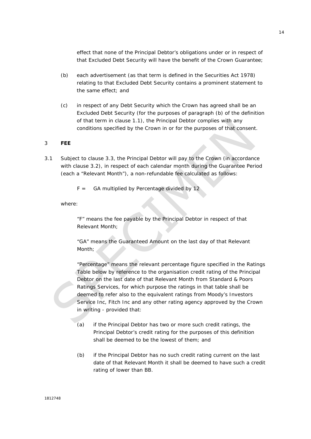effect that none of the Principal Debtor's obligations under or in respect of that Excluded Debt Security will have the benefit of the Crown Guarantee;

- (b) each advertisement (as that term is defined in the Securities Act 1978) relating to that Excluded Debt Security contains a prominent statement to the same effect; and
- (c) in respect of any Debt Security which the Crown has agreed shall be an Excluded Debt Security (for the purposes of paragraph (b) of the definition of that term in clause 1.1), the Principal Debtor complies with any conditions specified by the Crown in or for the purposes of that consent.

#### 3 **FEE**

3.1 Subject to clause 3.3, the Principal Debtor will pay to the Crown (in accordance with clause 3.2), in respect of each calendar month during the Guarantee Period (each a "Relevant Month"), a non-refundable fee calculated as follows:

 $F =$  GA multiplied by Percentage divided by 12

where:

"F" means the fee payable by the Principal Debtor in respect of that Relevant Month;

"GA" means the Guaranteed Amount on the last day of that Relevant Month;

"Percentage" means the relevant percentage figure specified in the Ratings Table below by reference to the organisation credit rating of the Principal Debtor on the last date of that Relevant Month from Standard & Poors Ratings Services, for which purpose the ratings in that table shall be deemed to refer also to the equivalent ratings from Moody's Investors Service Inc, Fitch Inc and any other rating agency approved by the Crown in writing - provided that:

- (a) if the Principal Debtor has two or more such credit ratings, the Principal Debtor's credit rating for the purposes of this definition shall be deemed to be the lowest of them; and
- (b) if the Principal Debtor has no such credit rating current on the last date of that Relevant Month it shall be deemed to have such a credit rating of lower than BB.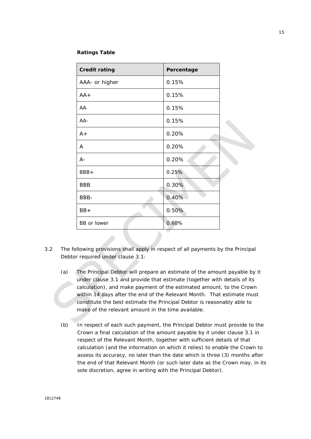#### **Ratings Table**

| <b>Credit rating</b> | Percentage |  |
|----------------------|------------|--|
| AAA- or higher       | 0.15%      |  |
| $AA +$               | 0.15%      |  |
| AA                   | 0.15%      |  |
| $AA-$                | 0.15%      |  |
| $A+$                 | 0.20%      |  |
| A                    | 0.20%      |  |
| $A -$                | 0.20%      |  |
| BBB+                 | 0.25%      |  |
| <b>BBB</b>           | 0.30%      |  |
| BBB-                 | 0.40%      |  |
| $BB+$                | 0.50%      |  |
| BB or lower          | 0.60%      |  |

- 3.2 The following provisions shall apply in respect of all payments by the Principal Debtor required under clause 3.1:
	- (a) The Principal Debtor will prepare an estimate of the amount payable by it under clause 3.1 and provide that estimate (together with details of its calculation), and make payment of the estimated amount, to the Crown within 14 days after the end of the Relevant Month. That estimate must constitute the best estimate the Principal Debtor is reasonably able to make of the relevant amount in the time available.
	- (b) In respect of each such payment, the Principal Debtor must provide to the Crown a final calculation of the amount payable by it under clause 3.1 in respect of the Relevant Month, together with sufficient details of that calculation (and the information on which it relies) to enable the Crown to assess its accuracy, no later than the date which is three (3) months after the end of that Relevant Month (or such later date as the Crown may, in its sole discretion, agree in writing with the Principal Debtor).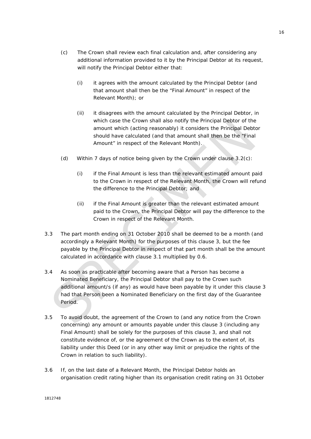- (c) The Crown shall review each final calculation and, after considering any additional information provided to it by the Principal Debtor at its request, will notify the Principal Debtor either that:
	- (i) it agrees with the amount calculated by the Principal Debtor (and that amount shall then be the "Final Amount" in respect of the Relevant Month); or
	- (ii) it disagrees with the amount calculated by the Principal Debtor, in which case the Crown shall also notify the Principal Debtor of the amount which (acting reasonably) it considers the Principal Debtor should have calculated (and that amount shall then be the "Final Amount" in respect of the Relevant Month).
- (d) Within 7 days of notice being given by the Crown under clause 3.2(c):
	- (i) if the Final Amount is less than the relevant estimated amount paid to the Crown in respect of the Relevant Month, the Crown will refund the difference to the Principal Debtor; and
	- (ii) if the Final Amount is greater than the relevant estimated amount paid to the Crown, the Principal Debtor will pay the difference to the Crown in respect of the Relevant Month.
- 3.3 The part month ending on 31 October 2010 shall be deemed to be a month (and accordingly a Relevant Month) for the purposes of this clause 3, but the fee payable by the Principal Debtor in respect of that part month shall be the amount calculated in accordance with clause 3.1 multiplied by 0.6.
- 3.4 As soon as practicable after becoming aware that a Person has become a Nominated Beneficiary, the Principal Debtor shall pay to the Crown such additional amount/s (if any) as would have been payable by it under this clause 3 had that Person been a Nominated Beneficiary on the first day of the Guarantee Period.
- 3.5 To avoid doubt, the agreement of the Crown to (and any notice from the Crown concerning) any amount or amounts payable under this clause 3 (including any Final Amount) shall be solely for the purposes of this clause 3, and shall not constitute evidence of, or the agreement of the Crown as to the extent of, its liability under this Deed (or in any other way limit or prejudice the rights of the Crown in relation to such liability).
- 3.6 If, on the last date of a Relevant Month, the Principal Debtor holds an organisation credit rating higher than its organisation credit rating on 31 October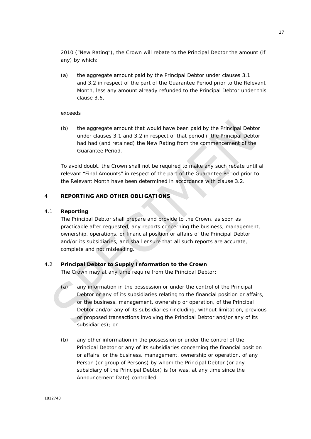2010 ("New Rating"), the Crown will rebate to the Principal Debtor the amount (if any) by which:

(a) the aggregate amount paid by the Principal Debtor under clauses 3.1 and 3.2 in respect of the part of the Guarantee Period prior to the Relevant Month, less any amount already refunded to the Principal Debtor under this clause 3.6,

#### exceeds

(b) the aggregate amount that would have been paid by the Principal Debtor under clauses 3.1 and 3.2 in respect of that period if the Principal Debtor had had (and retained) the New Rating from the commencement of the Guarantee Period.

To avoid doubt, the Crown shall not be required to make any such rebate until all relevant "Final Amounts" in respect of the part of the Guarantee Period prior to the Relevant Month have been determined in accordance with clause 3.2.

## 4 **REPORTING AND OTHER OBLIGATIONS**

#### 4.1 **Reporting**

The Principal Debtor shall prepare and provide to the Crown, as soon as practicable after requested, any reports concerning the business, management, ownership, operations, or financial position or affairs of the Principal Debtor and/or its subsidiaries, and shall ensure that all such reports are accurate, complete and not misleading.

#### 4.2 **Principal Debtor to Supply Information to the Crown**

The Crown may at any time require from the Principal Debtor:

- (a) any information in the possession or under the control of the Principal Debtor or any of its subsidiaries relating to the financial position or affairs, or the business, management, ownership or operation, of the Principal Debtor and/or any of its subsidiaries (including, without limitation, previous or proposed transactions involving the Principal Debtor and/or any of its subsidiaries); or
- (b) any other information in the possession or under the control of the Principal Debtor or any of its subsidiaries concerning the financial position or affairs, or the business, management, ownership or operation, of any Person (or group of Persons) by whom the Principal Debtor (or any subsidiary of the Principal Debtor) is (or was, at any time since the Announcement Date) controlled.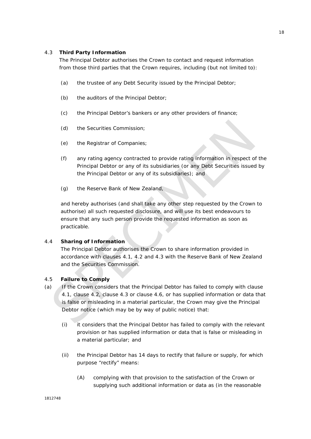## 4.3 **Third Party Information**

The Principal Debtor authorises the Crown to contact and request information from those third parties that the Crown requires, including (but not limited to):

- (a) the trustee of any Debt Security issued by the Principal Debtor;
- (b) the auditors of the Principal Debtor;
- (c) the Principal Debtor's bankers or any other providers of finance;
- (d) the Securities Commission;
- (e) the Registrar of Companies;
- (f) any rating agency contracted to provide rating information in respect of the Principal Debtor or any of its subsidiaries (or any Debt Securities issued by the Principal Debtor or any of its subsidiaries); and
- (g) the Reserve Bank of New Zealand,

and hereby authorises (and shall take any other step requested by the Crown to authorise) all such requested disclosure, and will use its best endeavours to ensure that any such person provide the requested information as soon as practicable.

## 4.4 **Sharing of Information**

The Principal Debtor authorises the Crown to share information provided in accordance with clauses 4.1, 4.2 and 4.3 with the Reserve Bank of New Zealand and the Securities Commission.

## 4.5 **Failure to Comply**

- (a) If the Crown considers that the Principal Debtor has failed to comply with clause 4.1, clause 4.2, clause 4.3 or clause 4.6, or has supplied information or data that is false or misleading in a material particular, the Crown may give the Principal Debtor notice (which may be by way of public notice) that:
	- (i) it considers that the Principal Debtor has failed to comply with the relevant provision or has supplied information or data that is false or misleading in a material particular; and
	- (ii) the Principal Debtor has 14 days to rectify that failure or supply, for which purpose "rectify" means:
		- (A) complying with that provision to the satisfaction of the Crown or supplying such additional information or data as (in the reasonable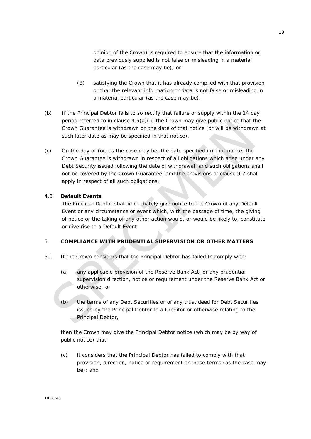opinion of the Crown) is required to ensure that the information or data previously supplied is not false or misleading in a material particular (as the case may be); or

- (B) satisfying the Crown that it has already complied with that provision or that the relevant information or data is not false or misleading in a material particular (as the case may be).
- (b) If the Principal Debtor fails to so rectify that failure or supply within the 14 day period referred to in clause  $4.5(a)(ii)$  the Crown may give public notice that the Crown Guarantee is withdrawn on the date of that notice (or will be withdrawn at such later date as may be specified in that notice).
- (c) On the day of (or, as the case may be, the date specified in) that notice, the Crown Guarantee is withdrawn in respect of all obligations which arise under any Debt Security issued following the date of withdrawal, and such obligations shall not be covered by the Crown Guarantee, and the provisions of clause 9.7 shall apply in respect of all such obligations.

## 4.6 **Default Events**

The Principal Debtor shall immediately give notice to the Crown of any Default Event or any circumstance or event which, with the passage of time, the giving of notice or the taking of any other action would, or would be likely to, constitute or give rise to a Default Event.

#### 5 **COMPLIANCE WITH PRUDENTIAL SUPERVISION OR OTHER MATTERS**

- 5.1 If the Crown considers that the Principal Debtor has failed to comply with:
	- (a) any applicable provision of the Reserve Bank Act, or any prudential supervision direction, notice or requirement under the Reserve Bank Act or otherwise; or
	- (b) the terms of any Debt Securities or of any trust deed for Debt Securities issued by the Principal Debtor to a Creditor or otherwise relating to the Principal Debtor,

then the Crown may give the Principal Debtor notice (which may be by way of public notice) that:

(c) it considers that the Principal Debtor has failed to comply with that provision, direction, notice or requirement or those terms (as the case may be); and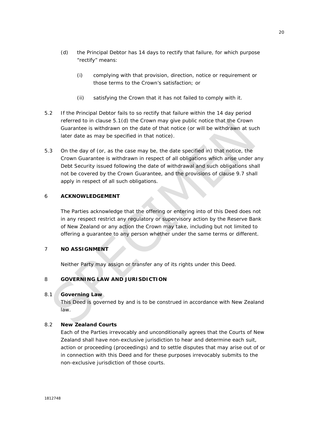- (d) the Principal Debtor has 14 days to rectify that failure, for which purpose "rectify" means:
	- (i) complying with that provision, direction, notice or requirement or those terms to the Crown's satisfaction; or
	- (ii) satisfying the Crown that it has not failed to comply with it.
- 5.2 If the Principal Debtor fails to so rectify that failure within the 14 day period referred to in clause 5.1(d) the Crown may give public notice that the Crown Guarantee is withdrawn on the date of that notice (or will be withdrawn at such later date as may be specified in that notice).
- 5.3 On the day of (or, as the case may be, the date specified in) that notice, the Crown Guarantee is withdrawn in respect of all obligations which arise under any Debt Security issued following the date of withdrawal and such obligations shall not be covered by the Crown Guarantee, and the provisions of clause 9.7 shall apply in respect of all such obligations.

## 6 **ACKNOWLEDGEMENT**

The Parties acknowledge that the offering or entering into of this Deed does not in any respect restrict any regulatory or supervisory action by the Reserve Bank of New Zealand or any action the Crown may take, including but not limited to offering a guarantee to any person whether under the same terms or different.

## 7 **NO ASSIGNMENT**

Neither Party may assign or transfer any of its rights under this Deed.

## 8 **GOVERNING LAW AND JURISDICTION**

#### 8.1 **Governing Law**

This Deed is governed by and is to be construed in accordance with New Zealand law.

#### 8.2 **New Zealand Courts**

Each of the Parties irrevocably and unconditionally agrees that the Courts of New Zealand shall have non-exclusive jurisdiction to hear and determine each suit, action or proceeding (proceedings) and to settle disputes that may arise out of or in connection with this Deed and for these purposes irrevocably submits to the non-exclusive jurisdiction of those courts.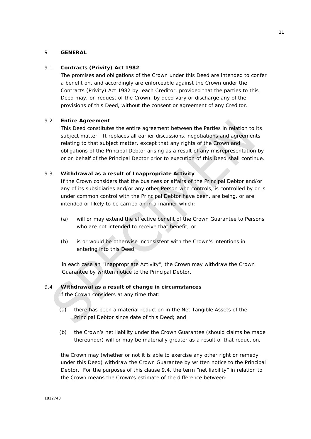#### 9 **GENERAL**

#### 9.1 **Contracts (Privity) Act 1982**

The promises and obligations of the Crown under this Deed are intended to confer a benefit on, and accordingly are enforceable against the Crown under the Contracts (Privity) Act 1982 by, each Creditor, provided that the parties to this Deed may, on request of the Crown, by deed vary or discharge any of the provisions of this Deed, without the consent or agreement of any Creditor.

#### 9.2 **Entire Agreement**

This Deed constitutes the entire agreement between the Parties in relation to its subject matter. It replaces all earlier discussions, negotiations and agreements relating to that subject matter, except that any rights of the Crown and obligations of the Principal Debtor arising as a result of any misrepresentation by or on behalf of the Principal Debtor prior to execution of this Deed shall continue.

## 9.3 **Withdrawal as a result of Inappropriate Activity**

If the Crown considers that the business or affairs of the Principal Debtor and/or any of its subsidiaries and/or any other Person who controls, is controlled by or is under common control with the Principal Debtor have been, are being, or are intended or likely to be carried on in a manner which:

- (a) will or may extend the effective benefit of the Crown Guarantee to Persons who are not intended to receive that benefit; or
- (b) is or would be otherwise inconsistent with the Crown's intentions in entering into this Deed,

in each case an "Inappropriate Activity", the Crown may withdraw the Crown Guarantee by written notice to the Principal Debtor.

### 9.4 **Withdrawal as a result of change in circumstances**

If the Crown considers at any time that:

- (a) there has been a material reduction in the Net Tangible Assets of the Principal Debtor since date of this Deed; and
- (b) the Crown's net liability under the Crown Guarantee (should claims be made thereunder) will or may be materially greater as a result of that reduction,

the Crown may (whether or not it is able to exercise any other right or remedy under this Deed) withdraw the Crown Guarantee by written notice to the Principal Debtor. For the purposes of this clause 9.4, the term "net liability" in relation to the Crown means the Crown's estimate of the difference between: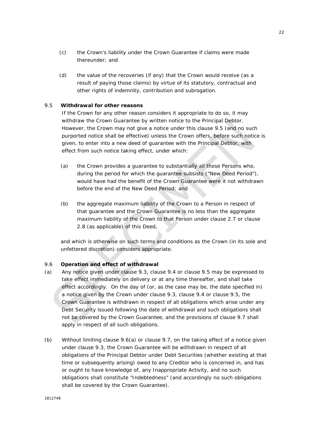- (c) the Crown's liability under the Crown Guarantee if claims were made thereunder; and
- (d) the value of the recoveries (if any) that the Crown would receive (as a result of paying those claims) by virtue of its statutory, contractual and other rights of indemnity, contribution and subrogation.

## 9.5 **Withdrawal for other reasons**

If the Crown for any other reason considers it appropriate to do so, it may withdraw the Crown Guarantee by written notice to the Principal Debtor. However, the Crown may not give a notice under this clause 9.5 (and no such purported notice shall be effective) unless the Crown offers, before such notice is given, to enter into a new deed of guarantee with the Principal Debtor, with effect from such notice taking effect, under which:

- (a) the Crown provides a guarantee to substantially all those Persons who, during the period for which the guarantee subsists ("New Deed Period"), would have had the benefit of the Crown Guarantee were it not withdrawn before the end of the New Deed Period; and
- (b) the aggregate maximum liability of the Crown to a Person in respect of that guarantee and the Crown Guarantee is no less than the aggregate maximum liability of the Crown to that Person under clause 2.7 or clause 2.8 (as applicable) of this Deed,

and which is otherwise on such terms and conditions as the Crown (in its sole and unfettered discretion) considers appropriate.

#### 9.6 **Operation and effect of withdrawal**

- (a) Any notice given under clause 9.3, clause 9.4 or clause 9.5 may be expressed to take effect immediately on delivery or at any time thereafter, and shall take effect accordingly. On the day of (or, as the case may be, the date specified in) a notice given by the Crown under clause 9.3, clause 9.4 or clause 9.5, the Crown Guarantee is withdrawn in respect of all obligations which arise under any Debt Security issued following the date of withdrawal and such obligations shall not be covered by the Crown Guarantee, and the provisions of clause 9.7 shall apply in respect of all such obligations.
- (b) Without limiting clause 9.6(a) or clause 9.7, on the taking effect of a notice given under clause 9.3, the Crown Guarantee will be withdrawn in respect of all obligations of the Principal Debtor under Debt Securities (whether existing at that time or subsequently arising) owed to any Creditor who is concerned in, and has or ought to have knowledge of, any Inappropriate Activity, and no such obligations shall constitute "Indebtedness" (and accordingly no such obligations shall be covered by the Crown Guarantee).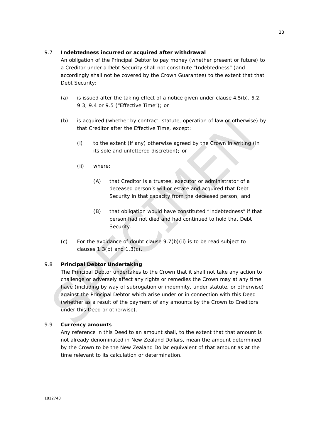## 9.7 **Indebtedness incurred or acquired after withdrawal**

An obligation of the Principal Debtor to pay money (whether present or future) to a Creditor under a Debt Security shall not constitute "Indebtedness" (and accordingly shall not be covered by the Crown Guarantee) to the extent that that Debt Security:

- (a) is issued after the taking effect of a notice given under clause 4.5(b), 5.2, 9.3, 9.4 or 9.5 ("Effective Time"); or
- (b) is acquired (whether by contract, statute, operation of law or otherwise) by that Creditor after the Effective Time, except:
	- (i) to the extent (if any) otherwise agreed by the Crown in writing (in its sole and unfettered discretion); or
	- (ii) where:
		- (A) that Creditor is a trustee, executor or administrator of a deceased person's will or estate and acquired that Debt Security in that capacity from the deceased person; and
		- (B) that obligation would have constituted "Indebtedness" if that person had not died and had continued to hold that Debt Security.
- (c) For the avoidance of doubt clause 9.7(b)(ii) is to be read subject to clauses  $1.3(b)$  and  $1.3(c)$ .

## 9.8 **Principal Debtor Undertaking**

The Principal Debtor undertakes to the Crown that it shall not take any action to challenge or adversely affect any rights or remedies the Crown may at any time have (including by way of subrogation or indemnity, under statute, or otherwise) against the Principal Debtor which arise under or in connection with this Deed (whether as a result of the payment of any amounts by the Crown to Creditors under this Deed or otherwise).

## 9.9 **Currency amounts**

Any reference in this Deed to an amount shall, to the extent that that amount is not already denominated in New Zealand Dollars, mean the amount determined by the Crown to be the New Zealand Dollar equivalent of that amount as at the time relevant to its calculation or determination.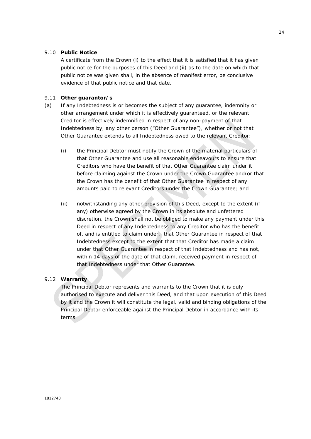### 9.10 **Public Notice**

A certificate from the Crown (i) to the effect that it is satisfied that it has given public notice for the purposes of this Deed and (ii) as to the date on which that public notice was given shall, in the absence of manifest error, be conclusive evidence of that public notice and that date.

#### 9.11 **Other guarantor/s**

- (a) If any Indebtedness is or becomes the subject of any guarantee, indemnity or other arrangement under which it is effectively guaranteed, or the relevant Creditor is effectively indemnified in respect of any non-payment of that Indebtedness by, any other person ("Other Guarantee"), whether or not that Other Guarantee extends to all Indebtedness owed to the relevant Creditor:
	- (i) the Principal Debtor must notify the Crown of the material particulars of that Other Guarantee and use all reasonable endeavours to ensure that Creditors who have the benefit of that Other Guarantee claim under it before claiming against the Crown under the Crown Guarantee and/or that the Crown has the benefit of that Other Guarantee in respect of any amounts paid to relevant Creditors under the Crown Guarantee; and
	- (ii) notwithstanding any other provision of this Deed, except to the extent (if any) otherwise agreed by the Crown in its absolute and unfettered discretion, the Crown shall not be obliged to make any payment under this Deed in respect of any Indebtedness to any Creditor who has the benefit of, and is entitled to claim under, that Other Guarantee in respect of that Indebtedness except to the extent that that Creditor has made a claim under that Other Guarantee in respect of that Indebtedness and has not, within 14 days of the date of that claim, received payment in respect of that Indebtedness under that Other Guarantee.

## 9.12 **Warranty**

The Principal Debtor represents and warrants to the Crown that it is duly authorised to execute and deliver this Deed, and that upon execution of this Deed by it and the Crown it will constitute the legal, valid and binding obligations of the Principal Debtor enforceable against the Principal Debtor in accordance with its terms.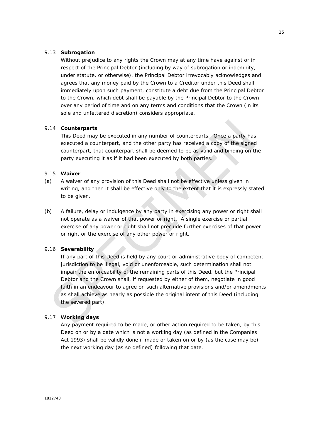#### 9.13 **Subrogation**

Without prejudice to any rights the Crown may at any time have against or in respect of the Principal Debtor (including by way of subrogation or indemnity, under statute, or otherwise), the Principal Debtor irrevocably acknowledges and agrees that any money paid by the Crown to a Creditor under this Deed shall, immediately upon such payment, constitute a debt due from the Principal Debtor to the Crown, which debt shall be payable by the Principal Debtor to the Crown over any period of time and on any terms and conditions that the Crown (in its sole and unfettered discretion) considers appropriate.

## 9.14 **Counterparts**

This Deed may be executed in any number of counterparts. Once a party has executed a counterpart, and the other party has received a copy of the signed counterpart, that counterpart shall be deemed to be as valid and binding on the party executing it as if it had been executed by both parties.

#### 9.15 **Waiver**

- (a) A waiver of any provision of this Deed shall not be effective unless given in writing, and then it shall be effective only to the extent that it is expressly stated to be given.
- (b) A failure, delay or indulgence by any party in exercising any power or right shall not operate as a waiver of that power or right. A single exercise or partial exercise of any power or right shall not preclude further exercises of that power or right or the exercise of any other power or right.

#### 9.16 **Severability**

If any part of this Deed is held by any court or administrative body of competent jurisdiction to be illegal, void or unenforceable, such determination shall not impair the enforceability of the remaining parts of this Deed, but the Principal Debtor and the Crown shall, if requested by either of them, negotiate in good faith in an endeavour to agree on such alternative provisions and/or amendments as shall achieve as nearly as possible the original intent of this Deed (including the severed part).

#### 9.17 **Working days**

Any payment required to be made, or other action required to be taken, by this Deed on or by a date which is not a working day (as defined in the Companies Act 1993) shall be validly done if made or taken on or by (as the case may be) the next working day (as so defined) following that date.